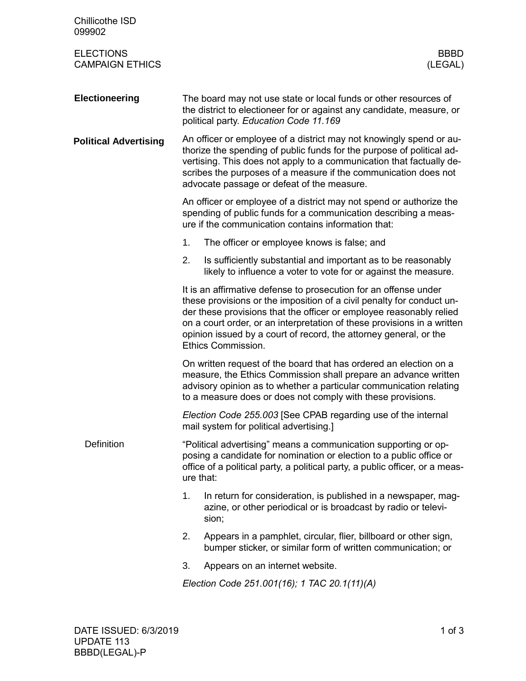| Chillicothe ISD<br>099902                  |                                                                                                                                                                                                                                                                                                                                                                                        |  |  |  |
|--------------------------------------------|----------------------------------------------------------------------------------------------------------------------------------------------------------------------------------------------------------------------------------------------------------------------------------------------------------------------------------------------------------------------------------------|--|--|--|
| <b>ELECTIONS</b><br><b>CAMPAIGN ETHICS</b> | <b>BBBD</b><br>(LEGAL)                                                                                                                                                                                                                                                                                                                                                                 |  |  |  |
| <b>Electioneering</b>                      | The board may not use state or local funds or other resources of<br>the district to electioneer for or against any candidate, measure, or<br>political party. Education Code 11.169                                                                                                                                                                                                    |  |  |  |
| <b>Political Advertising</b>               | An officer or employee of a district may not knowingly spend or au-<br>thorize the spending of public funds for the purpose of political ad-<br>vertising. This does not apply to a communication that factually de-<br>scribes the purposes of a measure if the communication does not<br>advocate passage or defeat of the measure.                                                  |  |  |  |
|                                            | An officer or employee of a district may not spend or authorize the<br>spending of public funds for a communication describing a meas-<br>ure if the communication contains information that:                                                                                                                                                                                          |  |  |  |
|                                            | 1.<br>The officer or employee knows is false; and                                                                                                                                                                                                                                                                                                                                      |  |  |  |
|                                            | 2.<br>Is sufficiently substantial and important as to be reasonably<br>likely to influence a voter to vote for or against the measure.                                                                                                                                                                                                                                                 |  |  |  |
|                                            | It is an affirmative defense to prosecution for an offense under<br>these provisions or the imposition of a civil penalty for conduct un-<br>der these provisions that the officer or employee reasonably relied<br>on a court order, or an interpretation of these provisions in a written<br>opinion issued by a court of record, the attorney general, or the<br>Ethics Commission. |  |  |  |
|                                            | On written request of the board that has ordered an election on a<br>measure, the Ethics Commission shall prepare an advance written<br>advisory opinion as to whether a particular communication relating<br>to a measure does or does not comply with these provisions.                                                                                                              |  |  |  |
|                                            | Election Code 255.003 [See CPAB regarding use of the internal<br>mail system for political advertising.]                                                                                                                                                                                                                                                                               |  |  |  |
| <b>Definition</b>                          | "Political advertising" means a communication supporting or op-<br>posing a candidate for nomination or election to a public office or<br>office of a political party, a political party, a public officer, or a meas-<br>ure that:                                                                                                                                                    |  |  |  |
|                                            | 1.<br>In return for consideration, is published in a newspaper, mag-<br>azine, or other periodical or is broadcast by radio or televi-<br>sion;                                                                                                                                                                                                                                        |  |  |  |
|                                            | 2.<br>Appears in a pamphlet, circular, flier, billboard or other sign,<br>bumper sticker, or similar form of written communication; or                                                                                                                                                                                                                                                 |  |  |  |
|                                            | 3.<br>Appears on an internet website.                                                                                                                                                                                                                                                                                                                                                  |  |  |  |
|                                            | Election Code 251.001(16); 1 TAC 20.1(11)(A)                                                                                                                                                                                                                                                                                                                                           |  |  |  |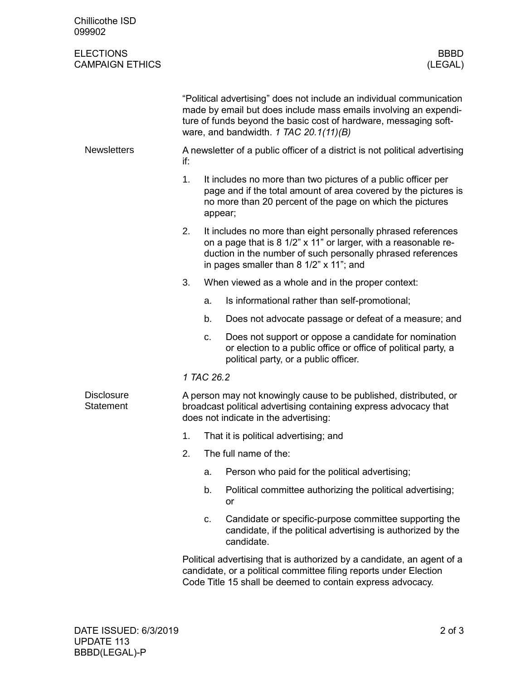| Chillicothe ISD<br>099902                  |                                                                                                                                                                                                                                                          |                                                                                                                                                                                                                                           |                                                                                                                                                                                                           |  |  |  |
|--------------------------------------------|----------------------------------------------------------------------------------------------------------------------------------------------------------------------------------------------------------------------------------------------------------|-------------------------------------------------------------------------------------------------------------------------------------------------------------------------------------------------------------------------------------------|-----------------------------------------------------------------------------------------------------------------------------------------------------------------------------------------------------------|--|--|--|
| <b>ELECTIONS</b><br><b>CAMPAIGN ETHICS</b> |                                                                                                                                                                                                                                                          |                                                                                                                                                                                                                                           | <b>BBBD</b><br>(LEGAL)                                                                                                                                                                                    |  |  |  |
|                                            | "Political advertising" does not include an individual communication<br>made by email but does include mass emails involving an expendi-<br>ture of funds beyond the basic cost of hardware, messaging soft-<br>ware, and bandwidth. $1$ TAC 20.1(11)(B) |                                                                                                                                                                                                                                           |                                                                                                                                                                                                           |  |  |  |
| <b>Newsletters</b>                         | if:                                                                                                                                                                                                                                                      | A newsletter of a public officer of a district is not political advertising                                                                                                                                                               |                                                                                                                                                                                                           |  |  |  |
|                                            | 1.                                                                                                                                                                                                                                                       | It includes no more than two pictures of a public officer per<br>page and if the total amount of area covered by the pictures is<br>no more than 20 percent of the page on which the pictures<br>appear;                                  |                                                                                                                                                                                                           |  |  |  |
|                                            | 2.                                                                                                                                                                                                                                                       | It includes no more than eight personally phrased references<br>on a page that is 8 1/2" x 11" or larger, with a reasonable re-<br>duction in the number of such personally phrased references<br>in pages smaller than 8 1/2" x 11"; and |                                                                                                                                                                                                           |  |  |  |
|                                            | 3.                                                                                                                                                                                                                                                       |                                                                                                                                                                                                                                           | When viewed as a whole and in the proper context:                                                                                                                                                         |  |  |  |
|                                            |                                                                                                                                                                                                                                                          | a.                                                                                                                                                                                                                                        | Is informational rather than self-promotional;                                                                                                                                                            |  |  |  |
|                                            |                                                                                                                                                                                                                                                          | b.                                                                                                                                                                                                                                        | Does not advocate passage or defeat of a measure; and                                                                                                                                                     |  |  |  |
|                                            |                                                                                                                                                                                                                                                          | C.                                                                                                                                                                                                                                        | Does not support or oppose a candidate for nomination<br>or election to a public office or office of political party, a<br>political party, or a public officer.                                          |  |  |  |
|                                            | 1 TAC 26.2                                                                                                                                                                                                                                               |                                                                                                                                                                                                                                           |                                                                                                                                                                                                           |  |  |  |
| <b>Disclosure</b><br><b>Statement</b>      | A person may not knowingly cause to be published, distributed, or<br>broadcast political advertising containing express advocacy that<br>does not indicate in the advertising:                                                                           |                                                                                                                                                                                                                                           |                                                                                                                                                                                                           |  |  |  |
|                                            | 1.                                                                                                                                                                                                                                                       |                                                                                                                                                                                                                                           | That it is political advertising; and                                                                                                                                                                     |  |  |  |
|                                            | 2.                                                                                                                                                                                                                                                       |                                                                                                                                                                                                                                           | The full name of the:                                                                                                                                                                                     |  |  |  |
|                                            |                                                                                                                                                                                                                                                          | a.                                                                                                                                                                                                                                        | Person who paid for the political advertising;                                                                                                                                                            |  |  |  |
|                                            |                                                                                                                                                                                                                                                          | b.                                                                                                                                                                                                                                        | Political committee authorizing the political advertising;<br>or                                                                                                                                          |  |  |  |
|                                            |                                                                                                                                                                                                                                                          | c.                                                                                                                                                                                                                                        | Candidate or specific-purpose committee supporting the<br>candidate, if the political advertising is authorized by the<br>candidate.                                                                      |  |  |  |
|                                            |                                                                                                                                                                                                                                                          |                                                                                                                                                                                                                                           | Political advertising that is authorized by a candidate, an agent of a<br>candidate, or a political committee filing reports under Election<br>Code Title 15 shall be deemed to contain express advocacy. |  |  |  |